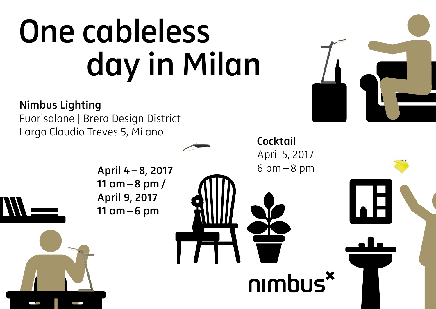## **One cableless day in Milan**

**Nimbus Lighting** Fuorisalone | Brera Design District Largo Claudio Treves 5, Milano

> **April 4–8, 2017 11 am–8 pm/ April 9, 2017 11 am–6 pm**

**Cocktail** April 5, 2017 6 pm–8 pm

nimbus<sup>x</sup>